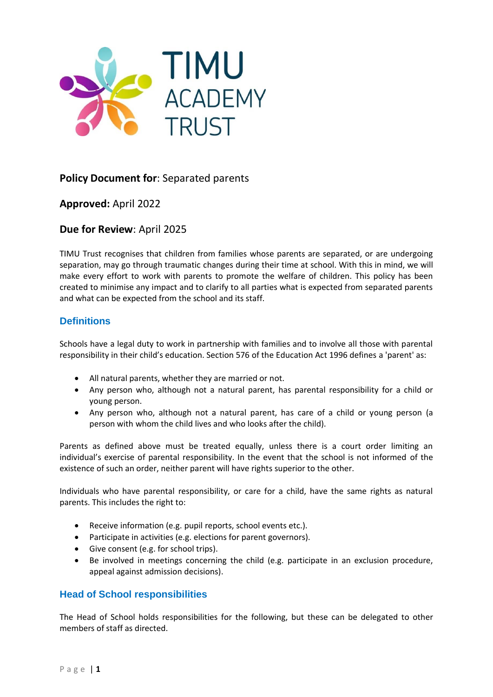

# **Policy Document for**: Separated parents

**Approved:** April 2022

**Due for Review**: April 2025

TIMU Trust recognises that children from families whose parents are separated, or are undergoing separation, may go through traumatic changes during their time at school. With this in mind, we will make every effort to work with parents to promote the welfare of children. This policy has been created to minimise any impact and to clarify to all parties what is expected from separated parents and what can be expected from the school and its staff.

## **Definitions**

Schools have a legal duty to work in partnership with families and to involve all those with parental responsibility in their child's education. Section 576 of the Education Act 1996 defines a 'parent' as:

- All natural parents, whether they are married or not.
- Any person who, although not a natural parent, has parental responsibility for a child or young person.
- Any person who, although not a natural parent, has care of a child or young person (a person with whom the child lives and who looks after the child).

Parents as defined above must be treated equally, unless there is a court order limiting an individual's exercise of parental responsibility. In the event that the school is not informed of the existence of such an order, neither parent will have rights superior to the other.

Individuals who have parental responsibility, or care for a child, have the same rights as natural parents. This includes the right to:

- Receive information (e.g. pupil reports, school events etc.).
- Participate in activities (e.g. elections for parent governors).
- Give consent (e.g. for school trips).
- Be involved in meetings concerning the child (e.g. participate in an exclusion procedure, appeal against admission decisions).

### **Head of School responsibilities**

The Head of School holds responsibilities for the following, but these can be delegated to other members of staff as directed.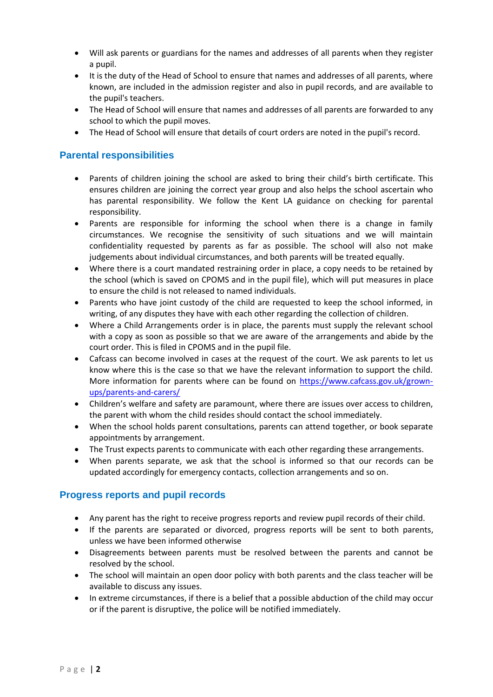- Will ask parents or guardians for the names and addresses of all parents when they register a pupil.
- It is the duty of the Head of School to ensure that names and addresses of all parents, where known, are included in the admission register and also in pupil records, and are available to the pupil's teachers.
- The Head of School will ensure that names and addresses of all parents are forwarded to any school to which the pupil moves.
- The Head of School will ensure that details of court orders are noted in the pupil's record.

### **Parental responsibilities**

- Parents of children joining the school are asked to bring their child's birth certificate. This ensures children are joining the correct year group and also helps the school ascertain who has parental responsibility. We follow the Kent LA guidance on checking for parental responsibility.
- Parents are responsible for informing the school when there is a change in family circumstances. We recognise the sensitivity of such situations and we will maintain confidentiality requested by parents as far as possible. The school will also not make judgements about individual circumstances, and both parents will be treated equally.
- Where there is a court mandated restraining order in place, a copy needs to be retained by the school (which is saved on CPOMS and in the pupil file), which will put measures in place to ensure the child is not released to named individuals.
- Parents who have joint custody of the child are requested to keep the school informed, in writing, of any disputes they have with each other regarding the collection of children.
- Where a Child Arrangements order is in place, the parents must supply the relevant school with a copy as soon as possible so that we are aware of the arrangements and abide by the court order. This is filed in CPOMS and in the pupil file.
- Cafcass can become involved in cases at the request of the court. We ask parents to let us know where this is the case so that we have the relevant information to support the child. More information for parents where can be found on [https://www.cafcass.gov.uk/grown](https://www.cafcass.gov.uk/grown-ups/parents-and-carers/)[ups/parents-and-carers/](https://www.cafcass.gov.uk/grown-ups/parents-and-carers/)
- Children's welfare and safety are paramount, where there are issues over access to children, the parent with whom the child resides should contact the school immediately.
- When the school holds parent consultations, parents can attend together, or book separate appointments by arrangement.
- The Trust expects parents to communicate with each other regarding these arrangements.
- When parents separate, we ask that the school is informed so that our records can be updated accordingly for emergency contacts, collection arrangements and so on.

### **Progress reports and pupil records**

- Any parent has the right to receive progress reports and review pupil records of their child.
- If the parents are separated or divorced, progress reports will be sent to both parents, unless we have been informed otherwise
- Disagreements between parents must be resolved between the parents and cannot be resolved by the school.
- The school will maintain an open door policy with both parents and the class teacher will be available to discuss any issues.
- In extreme circumstances, if there is a belief that a possible abduction of the child may occur or if the parent is disruptive, the police will be notified immediately.